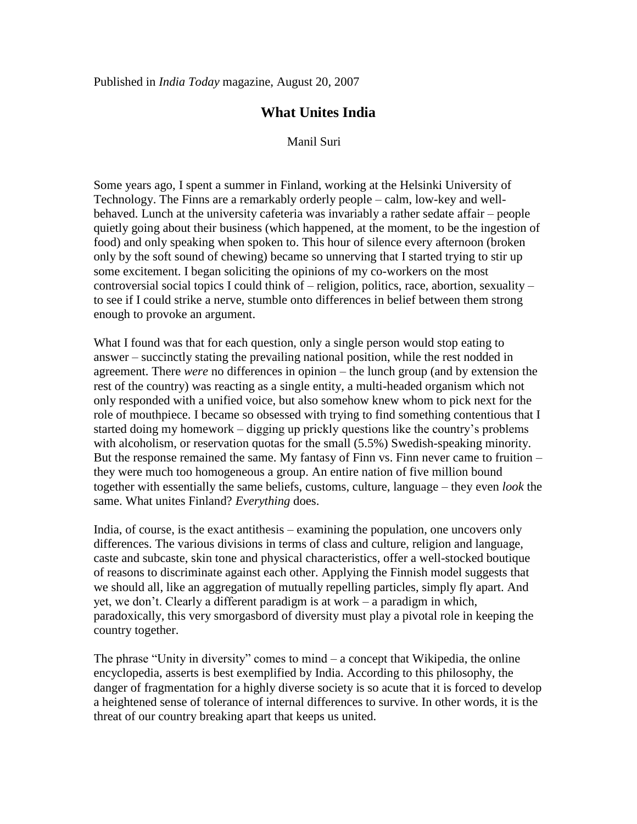## **What Unites India**

Manil Suri

Some years ago, I spent a summer in Finland, working at the Helsinki University of Technology. The Finns are a remarkably orderly people – calm, low-key and wellbehaved. Lunch at the university cafeteria was invariably a rather sedate affair – people quietly going about their business (which happened, at the moment, to be the ingestion of food) and only speaking when spoken to. This hour of silence every afternoon (broken only by the soft sound of chewing) became so unnerving that I started trying to stir up some excitement. I began soliciting the opinions of my co-workers on the most controversial social topics I could think of – religion, politics, race, abortion, sexuality – to see if I could strike a nerve, stumble onto differences in belief between them strong enough to provoke an argument.

What I found was that for each question, only a single person would stop eating to answer – succinctly stating the prevailing national position, while the rest nodded in agreement. There *were* no differences in opinion – the lunch group (and by extension the rest of the country) was reacting as a single entity, a multi-headed organism which not only responded with a unified voice, but also somehow knew whom to pick next for the role of mouthpiece. I became so obsessed with trying to find something contentious that I started doing my homework – digging up prickly questions like the country's problems with alcoholism, or reservation quotas for the small (5.5%) Swedish-speaking minority. But the response remained the same. My fantasy of Finn vs. Finn never came to fruition – they were much too homogeneous a group. An entire nation of five million bound together with essentially the same beliefs, customs, culture, language – they even *look* the same. What unites Finland? *Everything* does.

India, of course, is the exact antithesis – examining the population, one uncovers only differences. The various divisions in terms of class and culture, religion and language, caste and subcaste, skin tone and physical characteristics, offer a well-stocked boutique of reasons to discriminate against each other. Applying the Finnish model suggests that we should all, like an aggregation of mutually repelling particles, simply fly apart. And yet, we don't. Clearly a different paradigm is at work – a paradigm in which, paradoxically, this very smorgasbord of diversity must play a pivotal role in keeping the country together.

The phrase "Unity in diversity" comes to mind – a concept that Wikipedia, the online encyclopedia, asserts is best exemplified by India. According to this philosophy, the danger of fragmentation for a highly diverse society is so acute that it is forced to develop a heightened sense of tolerance of internal differences to survive. In other words, it is the threat of our country breaking apart that keeps us united.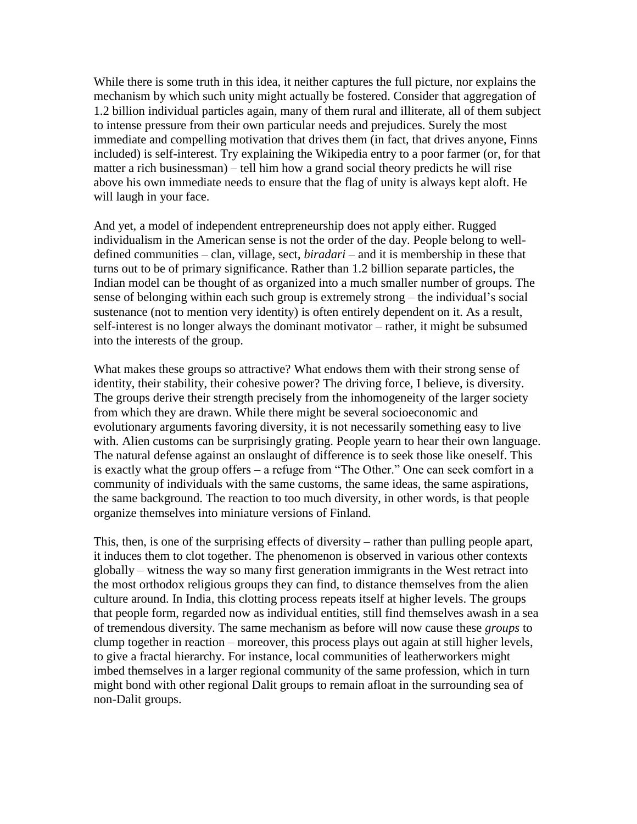While there is some truth in this idea, it neither captures the full picture, nor explains the mechanism by which such unity might actually be fostered. Consider that aggregation of 1.2 billion individual particles again, many of them rural and illiterate, all of them subject to intense pressure from their own particular needs and prejudices. Surely the most immediate and compelling motivation that drives them (in fact, that drives anyone, Finns included) is self-interest. Try explaining the Wikipedia entry to a poor farmer (or, for that matter a rich businessman) – tell him how a grand social theory predicts he will rise above his own immediate needs to ensure that the flag of unity is always kept aloft. He will laugh in your face.

And yet, a model of independent entrepreneurship does not apply either. Rugged individualism in the American sense is not the order of the day. People belong to welldefined communities – clan, village, sect, *biradari* – and it is membership in these that turns out to be of primary significance. Rather than 1.2 billion separate particles, the Indian model can be thought of as organized into a much smaller number of groups. The sense of belonging within each such group is extremely strong – the individual's social sustenance (not to mention very identity) is often entirely dependent on it. As a result, self-interest is no longer always the dominant motivator – rather, it might be subsumed into the interests of the group.

What makes these groups so attractive? What endows them with their strong sense of identity, their stability, their cohesive power? The driving force, I believe, is diversity. The groups derive their strength precisely from the inhomogeneity of the larger society from which they are drawn. While there might be several socioeconomic and evolutionary arguments favoring diversity, it is not necessarily something easy to live with. Alien customs can be surprisingly grating. People yearn to hear their own language. The natural defense against an onslaught of difference is to seek those like oneself. This is exactly what the group offers – a refuge from "The Other." One can seek comfort in a community of individuals with the same customs, the same ideas, the same aspirations, the same background. The reaction to too much diversity, in other words, is that people organize themselves into miniature versions of Finland.

This, then, is one of the surprising effects of diversity – rather than pulling people apart, it induces them to clot together. The phenomenon is observed in various other contexts globally – witness the way so many first generation immigrants in the West retract into the most orthodox religious groups they can find, to distance themselves from the alien culture around. In India, this clotting process repeats itself at higher levels. The groups that people form, regarded now as individual entities, still find themselves awash in a sea of tremendous diversity. The same mechanism as before will now cause these *groups* to clump together in reaction – moreover, this process plays out again at still higher levels, to give a fractal hierarchy. For instance, local communities of leatherworkers might imbed themselves in a larger regional community of the same profession, which in turn might bond with other regional Dalit groups to remain afloat in the surrounding sea of non-Dalit groups.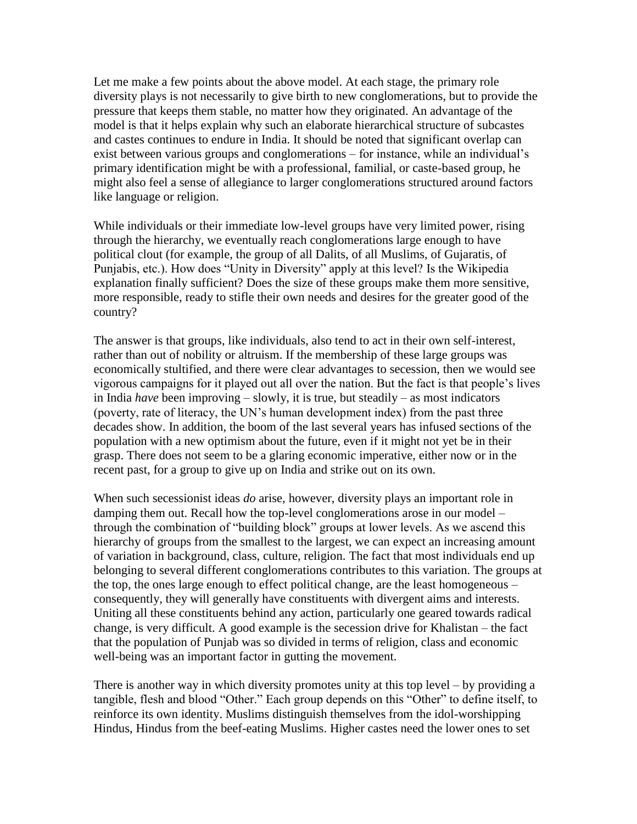Let me make a few points about the above model. At each stage, the primary role diversity plays is not necessarily to give birth to new conglomerations, but to provide the pressure that keeps them stable, no matter how they originated. An advantage of the model is that it helps explain why such an elaborate hierarchical structure of subcastes and castes continues to endure in India. It should be noted that significant overlap can exist between various groups and conglomerations – for instance, while an individual's primary identification might be with a professional, familial, or caste-based group, he might also feel a sense of allegiance to larger conglomerations structured around factors like language or religion.

While individuals or their immediate low-level groups have very limited power, rising through the hierarchy, we eventually reach conglomerations large enough to have political clout (for example, the group of all Dalits, of all Muslims, of Gujaratis, of Punjabis, etc.). How does "Unity in Diversity" apply at this level? Is the Wikipedia explanation finally sufficient? Does the size of these groups make them more sensitive, more responsible, ready to stifle their own needs and desires for the greater good of the country?

The answer is that groups, like individuals, also tend to act in their own self-interest, rather than out of nobility or altruism. If the membership of these large groups was economically stultified, and there were clear advantages to secession, then we would see vigorous campaigns for it played out all over the nation. But the fact is that people's lives in India *have* been improving – slowly, it is true, but steadily – as most indicators (poverty, rate of literacy, the UN's human development index) from the past three decades show. In addition, the boom of the last several years has infused sections of the population with a new optimism about the future, even if it might not yet be in their grasp. There does not seem to be a glaring economic imperative, either now or in the recent past, for a group to give up on India and strike out on its own.

When such secessionist ideas *do* arise, however, diversity plays an important role in damping them out. Recall how the top-level conglomerations arose in our model – through the combination of "building block" groups at lower levels. As we ascend this hierarchy of groups from the smallest to the largest, we can expect an increasing amount of variation in background, class, culture, religion. The fact that most individuals end up belonging to several different conglomerations contributes to this variation. The groups at the top, the ones large enough to effect political change, are the least homogeneous – consequently, they will generally have constituents with divergent aims and interests. Uniting all these constituents behind any action, particularly one geared towards radical change, is very difficult. A good example is the secession drive for Khalistan – the fact that the population of Punjab was so divided in terms of religion, class and economic well-being was an important factor in gutting the movement.

There is another way in which diversity promotes unity at this top level – by providing a tangible, flesh and blood "Other." Each group depends on this "Other" to define itself, to reinforce its own identity. Muslims distinguish themselves from the idol-worshipping Hindus, Hindus from the beef-eating Muslims. Higher castes need the lower ones to set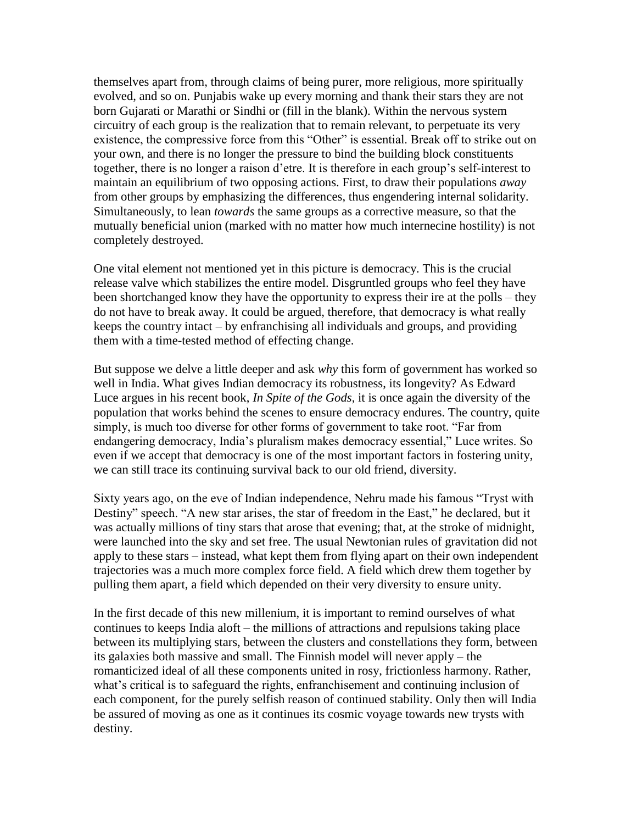themselves apart from, through claims of being purer, more religious, more spiritually evolved, and so on. Punjabis wake up every morning and thank their stars they are not born Gujarati or Marathi or Sindhi or (fill in the blank). Within the nervous system circuitry of each group is the realization that to remain relevant, to perpetuate its very existence, the compressive force from this "Other" is essential. Break off to strike out on your own, and there is no longer the pressure to bind the building block constituents together, there is no longer a raison d'etre. It is therefore in each group's self-interest to maintain an equilibrium of two opposing actions. First, to draw their populations *away* from other groups by emphasizing the differences, thus engendering internal solidarity. Simultaneously, to lean *towards* the same groups as a corrective measure, so that the mutually beneficial union (marked with no matter how much internecine hostility) is not completely destroyed.

One vital element not mentioned yet in this picture is democracy. This is the crucial release valve which stabilizes the entire model. Disgruntled groups who feel they have been shortchanged know they have the opportunity to express their ire at the polls – they do not have to break away. It could be argued, therefore, that democracy is what really keeps the country intact – by enfranchising all individuals and groups, and providing them with a time-tested method of effecting change.

But suppose we delve a little deeper and ask *why* this form of government has worked so well in India. What gives Indian democracy its robustness, its longevity? As Edward Luce argues in his recent book, *In Spite of the Gods*, it is once again the diversity of the population that works behind the scenes to ensure democracy endures. The country, quite simply, is much too diverse for other forms of government to take root. "Far from endangering democracy, India's pluralism makes democracy essential," Luce writes. So even if we accept that democracy is one of the most important factors in fostering unity, we can still trace its continuing survival back to our old friend, diversity.

Sixty years ago, on the eve of Indian independence, Nehru made his famous "Tryst with Destiny" speech. "A new star arises, the star of freedom in the East," he declared, but it was actually millions of tiny stars that arose that evening; that, at the stroke of midnight, were launched into the sky and set free. The usual Newtonian rules of gravitation did not apply to these stars – instead, what kept them from flying apart on their own independent trajectories was a much more complex force field. A field which drew them together by pulling them apart, a field which depended on their very diversity to ensure unity.

In the first decade of this new millenium, it is important to remind ourselves of what continues to keeps India aloft – the millions of attractions and repulsions taking place between its multiplying stars, between the clusters and constellations they form, between its galaxies both massive and small. The Finnish model will never apply – the romanticized ideal of all these components united in rosy, frictionless harmony. Rather, what's critical is to safeguard the rights, enfranchisement and continuing inclusion of each component, for the purely selfish reason of continued stability. Only then will India be assured of moving as one as it continues its cosmic voyage towards new trysts with destiny.